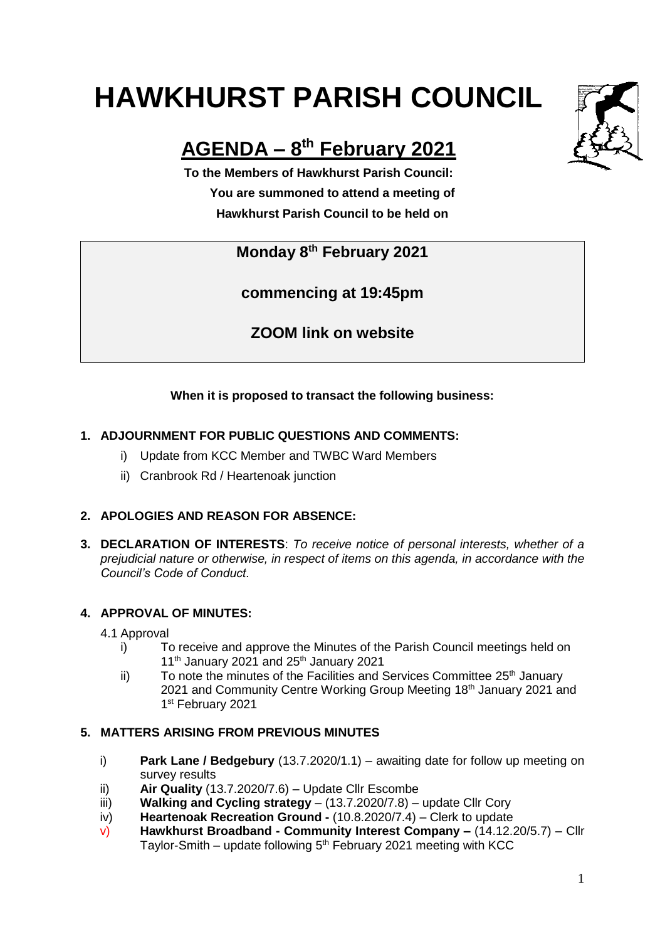# **HAWKHURST PARISH COUNCIL**



# **AGENDA – 8 th February 2021**

**To the Members of Hawkhurst Parish Council: You are summoned to attend a meeting of Hawkhurst Parish Council to be held on**

**Monday 8th February 2021**

**commencing at 19:45pm**

**ZOOM link on website**

# **When it is proposed to transact the following business:**

# **1. ADJOURNMENT FOR PUBLIC QUESTIONS AND COMMENTS:**

- i) Update from KCC Member and TWBC Ward Members
- ii) Cranbrook Rd / Heartenoak junction

# **2. APOLOGIES AND REASON FOR ABSENCE:**

**3. DECLARATION OF INTERESTS**: *To receive notice of personal interests, whether of a prejudicial nature or otherwise, in respect of items on this agenda, in accordance with the Council's Code of Conduct.*

# **4. APPROVAL OF MINUTES:**

- 4.1 Approval
	- i) To receive and approve the Minutes of the Parish Council meetings held on  $11<sup>th</sup>$  January 2021 and 25<sup>th</sup> January 2021
	- $\mathbf{ii}$  To note the minutes of the Facilities and Services Committee 25<sup>th</sup> January 2021 and Community Centre Working Group Meeting 18<sup>th</sup> January 2021 and 1st February 2021

## **5. MATTERS ARISING FROM PREVIOUS MINUTES**

- i) **Park Lane / Bedgebury** (13.7.2020/1.1) awaiting date for follow up meeting on survey results
- ii) **Air Quality** (13.7.2020/7.6) Update Cllr Escombe
- iii) **Walking and Cycling strategy**  (13.7.2020/7.8) update Cllr Cory
- iv) **Heartenoak Recreation Ground -** (10.8.2020/7.4) Clerk to update
- v) **Hawkhurst Broadband - Community Interest Company –** (14.12.20/5.7) Cllr Taylor-Smith – update following  $5<sup>th</sup>$  February 2021 meeting with KCC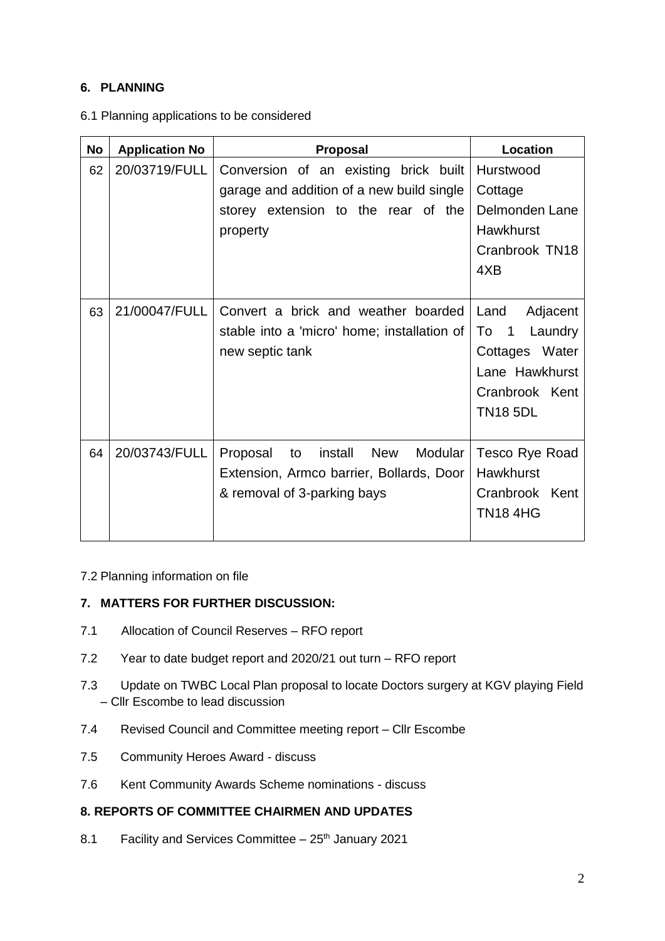## **6. PLANNING**

| <b>No</b> | <b>Application No</b> | <b>Proposal</b>                                                                                                                       | Location                                                                                                                                 |
|-----------|-----------------------|---------------------------------------------------------------------------------------------------------------------------------------|------------------------------------------------------------------------------------------------------------------------------------------|
| 62        | 20/03719/FULL         | Conversion of an existing brick built<br>garage and addition of a new build single<br>storey extension to the rear of the<br>property | Hurstwood<br>Cottage<br>Delmonden Lane<br><b>Hawkhurst</b><br>Cranbrook TN18<br>4XB                                                      |
| 63        | 21/00047/FULL         | Convert a brick and weather boarded<br>stable into a 'micro' home; installation of<br>new septic tank                                 | Land<br>Adjacent<br>To<br>$\overline{\phantom{0}}$ 1<br>Laundry<br>Cottages Water<br>Lane Hawkhurst<br>Cranbrook Kent<br><b>TN18 5DL</b> |
| 64        | 20/03743/FULL         | New<br>Modular<br>Proposal<br>install<br>to<br>Extension, Armco barrier, Bollards, Door<br>& removal of 3-parking bays                | Tesco Rye Road<br><b>Hawkhurst</b><br>Cranbrook Kent<br><b>TN18 4HG</b>                                                                  |

#### 6.1 Planning applications to be considered

#### 7.2 Planning information on file

#### **7. MATTERS FOR FURTHER DISCUSSION:**

- 7.1 Allocation of Council Reserves RFO report
- 7.2 Year to date budget report and 2020/21 out turn RFO report
- 7.3 Update on TWBC Local Plan proposal to locate Doctors surgery at KGV playing Field – Cllr Escombe to lead discussion
- 7.4 Revised Council and Committee meeting report Cllr Escombe
- 7.5 Community Heroes Award discuss
- 7.6 Kent Community Awards Scheme nominations discuss

#### **8. REPORTS OF COMMITTEE CHAIRMEN AND UPDATES**

8.1 Facility and Services Committee  $-25<sup>th</sup>$  January 2021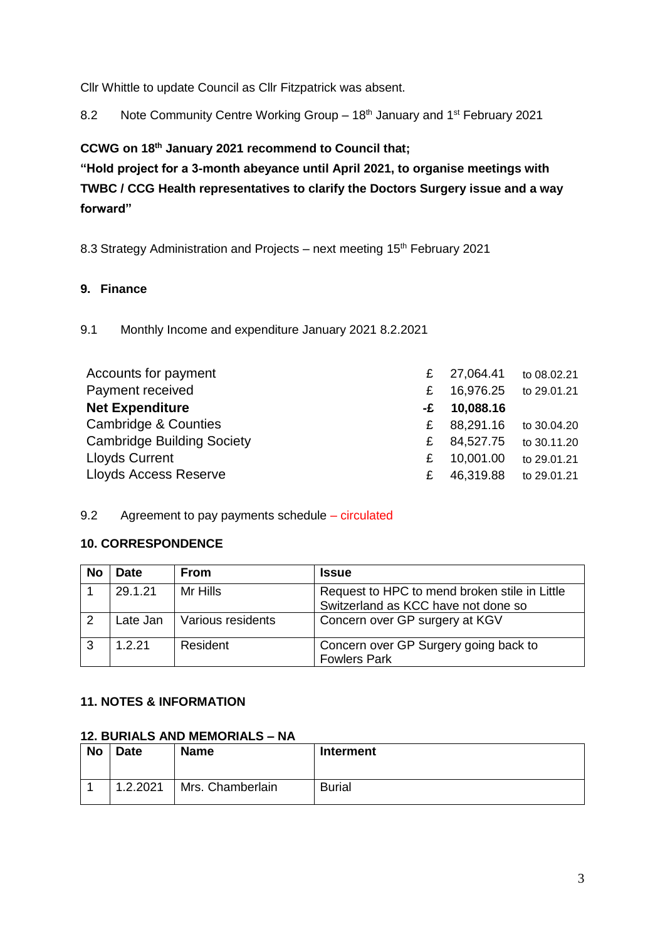Cllr Whittle to update Council as Cllr Fitzpatrick was absent.

8.2 Note Community Centre Working Group - 18<sup>th</sup> January and 1<sup>st</sup> February 2021

**CCWG on 18th January 2021 recommend to Council that;**

**"Hold project for a 3-month abeyance until April 2021, to organise meetings with TWBC / CCG Health representatives to clarify the Doctors Surgery issue and a way forward"**

8.3 Strategy Administration and Projects – next meeting 15<sup>th</sup> February 2021

#### **9. Finance**

9.1 Monthly Income and expenditure January 2021 8.2.2021

| Accounts for payment              | £  | 27,064.41 | to 08.02.21           |
|-----------------------------------|----|-----------|-----------------------|
| Payment received                  | £  | 16,976.25 | to 29.01.21           |
| <b>Net Expenditure</b>            | -£ | 10,088.16 |                       |
| Cambridge & Counties              | £. |           | 88,291.16 to 30.04.20 |
| <b>Cambridge Building Society</b> | £  | 84,527.75 | to 30.11.20           |
| <b>Lloyds Current</b>             | £  | 10,001.00 | to 29.01.21           |
| <b>Lloyds Access Reserve</b>      | £  | 46,319.88 | to 29.01.21           |

9.2 Agreement to pay payments schedule – circulated

#### **10. CORRESPONDENCE**

| No | Date     | From              | <b>Issue</b>                                                                         |
|----|----------|-------------------|--------------------------------------------------------------------------------------|
|    | 29.1.21  | Mr Hills          | Request to HPC to mend broken stile in Little<br>Switzerland as KCC have not done so |
|    | Late Jan | Various residents | Concern over GP surgery at KGV                                                       |
|    | 1.2.21   | Resident          | Concern over GP Surgery going back to<br><b>Fowlers Park</b>                         |

#### **11. NOTES & INFORMATION**

#### **12. BURIALS AND MEMORIALS – NA**

| <b>No</b> | <b>Date</b><br><b>Name</b> |                  | Interment     |
|-----------|----------------------------|------------------|---------------|
|           |                            |                  |               |
|           | 1.2.2021                   | Mrs. Chamberlain | <b>Burial</b> |